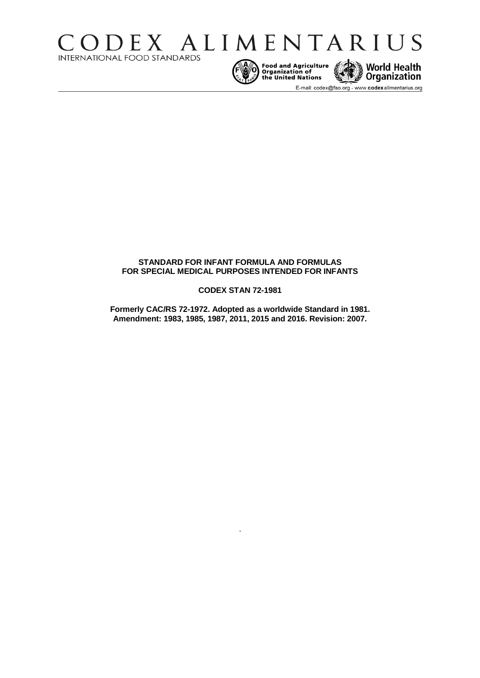



E-mail: codex@fao.org - www.codexalimentarius.org

# **STANDARD FOR INFANT FORMULA AND FORMULAS FOR SPECIAL MEDICAL PURPOSES INTENDED FOR INFANTS**

### **CODEX STAN 72-1981**

**Formerly CAC/RS 72-1972. Adopted as a worldwide Standard in 1981. Amendment: 1983, 1985, 1987, 2011, 2015 and 2016. Revision: 2007.** 

.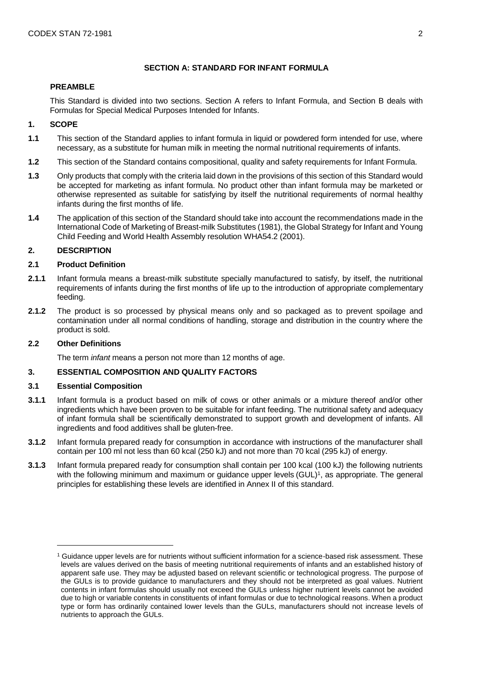# **SECTION A: STANDARD FOR INFANT FORMULA**

### **PREAMBLE**

This Standard is divided into two sections. Section A refers to Infant Formula, and Section B deals with Formulas for Special Medical Purposes Intended for Infants.

## **1. SCOPE**

- **1.1** This section of the Standard applies to infant formula in liquid or powdered form intended for use, where necessary, as a substitute for human milk in meeting the normal nutritional requirements of infants.
- **1.2** This section of the Standard contains compositional, quality and safety requirements for Infant Formula.
- **1.3** Only products that comply with the criteria laid down in the provisions of this section of this Standard would be accepted for marketing as infant formula. No product other than infant formula may be marketed or otherwise represented as suitable for satisfying by itself the nutritional requirements of normal healthy infants during the first months of life.
- **1.4** The application of this section of the Standard should take into account the recommendations made in the International Code of Marketing of Breast-milk Substitutes (1981), the Global Strategy for Infant and Young Child Feeding and World Health Assembly resolution WHA54.2 (2001).

## **2. DESCRIPTION**

### **2.1 Product Definition**

- **2.1.1** Infant formula means a breast-milk substitute specially manufactured to satisfy, by itself, the nutritional requirements of infants during the first months of life up to the introduction of appropriate complementary feeding.
- **2.1.2** The product is so processed by physical means only and so packaged as to prevent spoilage and contamination under all normal conditions of handling, storage and distribution in the country where the product is sold.

### **2.2 Other Definitions**

 $\overline{a}$ 

The term *infant* means a person not more than 12 months of age.

### **3. ESSENTIAL COMPOSITION AND QUALITY FACTORS**

### **3.1 Essential Composition**

- **3.1.1** Infant formula is a product based on milk of cows or other animals or a mixture thereof and/or other ingredients which have been proven to be suitable for infant feeding. The nutritional safety and adequacy of infant formula shall be scientifically demonstrated to support growth and development of infants. All ingredients and food additives shall be gluten-free.
- **3.1.2** Infant formula prepared ready for consumption in accordance with instructions of the manufacturer shall contain per 100 ml not less than 60 kcal (250 kJ) and not more than 70 kcal (295 kJ) of energy.
- **3.1.3** Infant formula prepared ready for consumption shall contain per 100 kcal (100 kJ) the following nutrients with the following minimum and maximum or guidance upper levels (GUL)<sup>1</sup>, as appropriate. The general principles for establishing these levels are identified in Annex II of this standard.

<sup>1</sup> Guidance upper levels are for nutrients without sufficient information for a science-based risk assessment. These levels are values derived on the basis of meeting nutritional requirements of infants and an established history of apparent safe use. They may be adjusted based on relevant scientific or technological progress. The purpose of the GULs is to provide guidance to manufacturers and they should not be interpreted as goal values. Nutrient contents in infant formulas should usually not exceed the GULs unless higher nutrient levels cannot be avoided due to high or variable contents in constituents of infant formulas or due to technological reasons. When a product type or form has ordinarily contained lower levels than the GULs, manufacturers should not increase levels of nutrients to approach the GULs.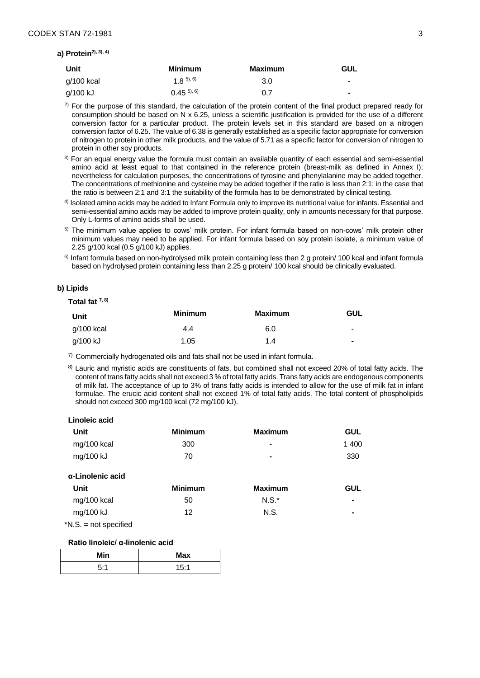#### **a) Protein2), 3), 4)**

| Unit       | <b>Minimum</b>    | Maximum | GUL            |
|------------|-------------------|---------|----------------|
| g/100 kcal | $(1 \times 5), 6$ | 3.0     | $\blacksquare$ |
| g/100 kJ   | $(0.45^{5}, 6)$   | 0.7     | ٠              |

 $^{2)}$  For the purpose of this standard, the calculation of the protein content of the final product prepared ready for consumption should be based on N x 6.25, unless a scientific justification is provided for the use of a different conversion factor for a particular product. The protein levels set in this standard are based on a nitrogen conversion factor of 6.25. The value of 6.38 is generally established as a specific factor appropriate for conversion of nitrogen to protein in other milk products, and the value of 5.71 as a specific factor for conversion of nitrogen to protein in other soy products.

- <sup>3)</sup> For an equal energy value the formula must contain an available quantity of each essential and semi-essential amino acid at least equal to that contained in the reference protein (breast-milk as defined in Annex I); nevertheless for calculation purposes, the concentrations of tyrosine and phenylalanine may be added together. The concentrations of methionine and cysteine may be added together if the ratio is less than 2:1; in the case that the ratio is between 2:1 and 3:1 the suitability of the formula has to be demonstrated by clinical testing.
- 4) Isolated amino acids may be added to Infant Formula only to improve its nutritional value for infants. Essential and semi-essential amino acids may be added to improve protein quality, only in amounts necessary for that purpose. Only L-forms of amino acids shall be used.
- 5) The minimum value applies to cows' milk protein. For infant formula based on non-cows' milk protein other minimum values may need to be applied. For infant formula based on soy protein isolate, a minimum value of 2.25 g/100 kcal (0.5 g/100 kJ) applies.
- 6) Infant formula based on non-hydrolysed milk protein containing less than 2 g protein/ 100 kcal and infant formula based on hydrolysed protein containing less than 2.25 g protein/ 100 kcal should be clinically evaluated.

#### **b) Lipids**

### **Total fat 7, 8)**

| Unit       | <b>Minimum</b> | <b>Maximum</b> | GUL             |
|------------|----------------|----------------|-----------------|
| g/100 kcal | 4.4            | 6.0            | $\qquad \qquad$ |
| g/100 kJ   | 1.05           | 1.4            | $\blacksquare$  |

 $7)$  Commercially hydrogenated oils and fats shall not be used in infant formula.

<sup>8)</sup> Lauric and myristic acids are constituents of fats, but combined shall not exceed 20% of total fatty acids. The content of trans fatty acids shall not exceed 3 % of total fatty acids. Trans fatty acids are endogenous components of milk fat. The acceptance of up to 3% of trans fatty acids is intended to allow for the use of milk fat in infant formulae. The erucic acid content shall not exceed 1% of total fatty acids. The total content of phospholipids should not exceed 300 mg/100 kcal (72 mg/100 kJ).

#### **Linoleic acid**

| Unit        | <b>Minimum</b> | Maximum                  | GUL   |
|-------------|----------------|--------------------------|-------|
| mg/100 kcal | 300            | $\overline{\phantom{0}}$ | 1 400 |
| mg/100 kJ   | 70             | ۰                        | 330   |

#### **α-Linolenic acid**

| Unit        | <b>Minimum</b> | <b>Maximum</b> | GUL                      |
|-------------|----------------|----------------|--------------------------|
| mg/100 kcal | 50             | $N.S.^*$       | -                        |
| mg/100 kJ   | 12             | N.S.           | $\overline{\phantom{0}}$ |

\*N.S. = not specified

### **Ratio linoleic/ α-linolenic acid**

| <b>Min</b> | <b>Max</b> |
|------------|------------|
| 5.4        | <b>E.4</b> |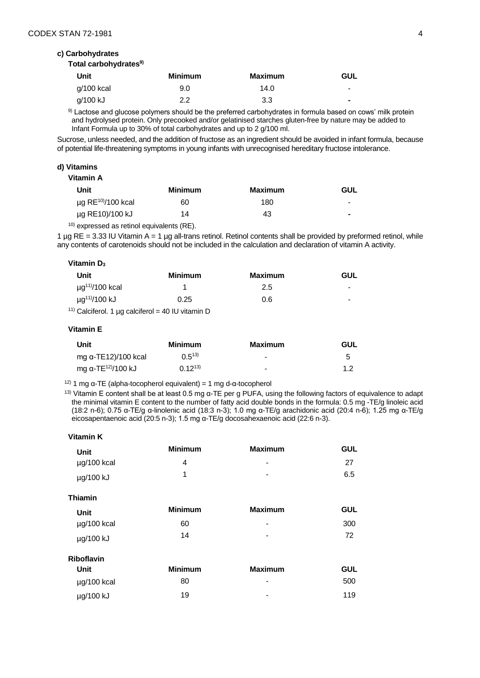#### **c) Carbohydrates**

#### **Total carbohydrates9)**

| <b>Unit</b> | <b>Minimum</b> | <b>Maximum</b> | <b>GUL</b>               |
|-------------|----------------|----------------|--------------------------|
| g/100 kcal  | 9.0            | 14.0           | $\overline{\phantom{0}}$ |
| g/100 kJ    | 2.2            | 3.3            | ۰                        |

9) Lactose and glucose polymers should be the preferred carbohydrates in formula based on cows' milk protein and hydrolysed protein. Only precooked and/or gelatinised starches gluten-free by nature may be added to Infant Formula up to 30% of total carbohydrates and up to 2 g/100 ml.

Sucrose, unless needed, and the addition of fructose as an ingredient should be avoided in infant formula, because of potential life-threatening symptoms in young infants with unrecognised hereditary fructose intolerance.

#### **d) Vitamins**

**Vitamin A** 

| Unit                                | <b>Minimum</b> | Maximum | <b>GUL</b>               |
|-------------------------------------|----------------|---------|--------------------------|
| $\mu$ g RE <sup>10)</sup> /100 kcal | 60             | 180     | $\overline{\phantom{0}}$ |
| µg RE10)/100 kJ                     | 14             | 43      | $\overline{\phantom{0}}$ |
|                                     |                |         |                          |

 $10)$  expressed as retinol equivalents (RE).

1  $\mu$ g RE = 3.33 IU Vitamin A = 1  $\mu$ g all-trans retinol. Retinol contents shall be provided by preformed retinol, while any contents of carotenoids should not be included in the calculation and declaration of vitamin A activity.

#### **Vitamin D<sup>3</sup>**

| Unit                                             | Minimum | Maximum | <b>GUL</b>     |
|--------------------------------------------------|---------|---------|----------------|
| $\mu$ g <sup>11)</sup> /100 kcal                 |         | 2.5     | $\blacksquare$ |
| µg <sup>11)</sup> /100 kJ                        | 0.25    | 0.6     | -              |
| 1) Calciforol 1 un calciforol — 40 II Lyitamin D |         |         |                |

<sup>11)</sup> Calciferol. 1 µg calciferol = 40 IU vitamin D

#### **Vitamin E**

| Unit                           | Minimum       | Maximum                  | GUL |
|--------------------------------|---------------|--------------------------|-----|
| mg α-TE12)/100 kcal            | $0.5^{13}$    | $\overline{\phantom{a}}$ | 5   |
| mg α-TE <sup>12)</sup> /100 kJ | $(1.12^{13})$ | -                        | 12  |

<sup>12)</sup> 1 mg α-TE (alpha-tocopherol equivalent) = 1 mg d-α-tocopherol

<sup>13)</sup> Vitamin E content shall be at least 0.5 mg α-TE per g PUFA, using the following factors of equivalence to adapt the minimal vitamin E content to the number of fatty acid double bonds in the formula: 0.5 mg -TE/g linoleic acid (18:2 n-6); 0.75 α-TE/g α-linolenic acid (18:3 n-3); 1.0 mg α-TE/g arachidonic acid (20:4 n-6); 1.25 mg α-TE/g eicosapentaenoic acid (20:5 n-3); 1.5 mg α-TE/g docosahexaenoic acid (22:6 n-3).

| Vitamin K         |                |                              |            |
|-------------------|----------------|------------------------------|------------|
| <b>Unit</b>       | <b>Minimum</b> | <b>Maximum</b>               | <b>GUL</b> |
| µg/100 kcal       | 4              | $\qquad \qquad \blacksquare$ | 27         |
| µg/100 kJ         | 1              |                              | 6.5        |
| <b>Thiamin</b>    |                |                              |            |
| <b>Unit</b>       | <b>Minimum</b> | <b>Maximum</b>               | <b>GUL</b> |
| $\mu$ g/100 kcal  | 60             |                              | 300        |
| µg/100 kJ         | 14             | $\blacksquare$               | 72         |
| <b>Riboflavin</b> |                |                              |            |
| Unit              | <b>Minimum</b> | <b>Maximum</b>               | <b>GUL</b> |
| µg/100 kcal       | 80             | -                            | 500        |
| µg/100 kJ         | 19             |                              | 119        |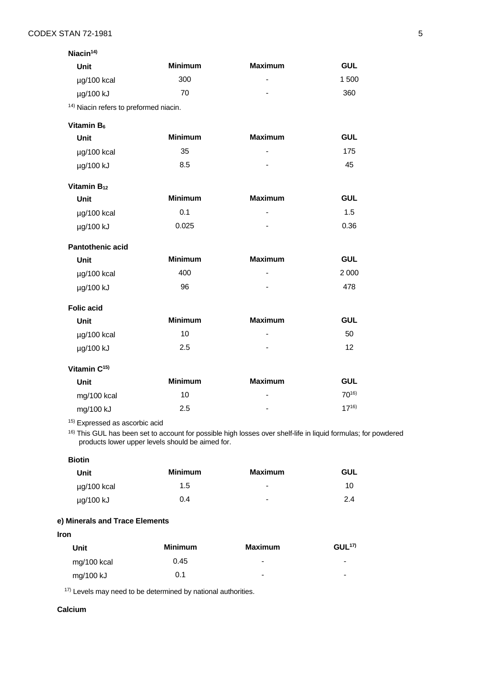| Niacin $14$ )                                     |                |                          |                 |
|---------------------------------------------------|----------------|--------------------------|-----------------|
| <b>Unit</b>                                       | <b>Minimum</b> | <b>Maximum</b>           | <b>GUL</b>      |
| µg/100 kcal                                       | 300            | $\blacksquare$           | 1 500           |
| µg/100 kJ                                         | 70             |                          | 360             |
| <sup>14)</sup> Niacin refers to preformed niacin. |                |                          |                 |
| Vitamin B <sub>6</sub>                            |                |                          |                 |
| Unit                                              | <b>Minimum</b> | <b>Maximum</b>           | <b>GUL</b>      |
| µg/100 kcal                                       | 35             | $\blacksquare$           | 175             |
| µg/100 kJ                                         | 8.5            | $\blacksquare$           | 45              |
| Vitamin B <sub>12</sub>                           |                |                          |                 |
| <b>Unit</b>                                       | <b>Minimum</b> | <b>Maximum</b>           | <b>GUL</b>      |
| µg/100 kcal                                       | 0.1            | $\blacksquare$           | 1.5             |
| µg/100 kJ                                         | 0.025          |                          | 0.36            |
| <b>Pantothenic acid</b>                           |                |                          |                 |
| <b>Unit</b>                                       | <b>Minimum</b> | <b>Maximum</b>           | <b>GUL</b>      |
| µg/100 kcal                                       | 400            | $\overline{\phantom{a}}$ | 2 0 0 0         |
| µg/100 kJ                                         | 96             |                          | 478             |
| <b>Folic acid</b>                                 |                |                          |                 |
| <b>Unit</b>                                       | <b>Minimum</b> | <b>Maximum</b>           | <b>GUL</b>      |
| µg/100 kcal                                       | 10             |                          | 50              |
| µg/100 kJ                                         | 2.5            |                          | 12 <sup>2</sup> |
| Vitamin $C^{15}$                                  |                |                          |                 |
| <b>Unit</b>                                       | <b>Minimum</b> | <b>Maximum</b>           | <b>GUL</b>      |
| mg/100 kcal                                       | 10             |                          | $70^{16}$       |
| mg/100 kJ                                         | 2.5            |                          | $17^{16}$       |

15) Expressed as ascorbic acid

16) This GUL has been set to account for possible high losses over shelf-life in liquid formulas; for powdered products lower upper levels should be aimed for.

**Biotin** 

| Unit        | <b>Minimum</b> | <b>Maximum</b>           | GUL |
|-------------|----------------|--------------------------|-----|
| µg/100 kcal | 1.5            | $\overline{\phantom{0}}$ | 10  |
| µg/100 kJ   | 0.4            | $\blacksquare$           | 2.4 |

# **e) Minerals and Trace Elements**

**Iron**

| Unit        | <b>Minimum</b> | <b>Maximum</b>  | GUL <sup>17</sup>        |
|-------------|----------------|-----------------|--------------------------|
| mg/100 kcal | 0.45           | $\qquad \qquad$ | $\overline{\phantom{0}}$ |
| mg/100 kJ   | 0.1            | $\qquad \qquad$ | $\blacksquare$           |

17) Levels may need to be determined by national authorities.

### **Calcium**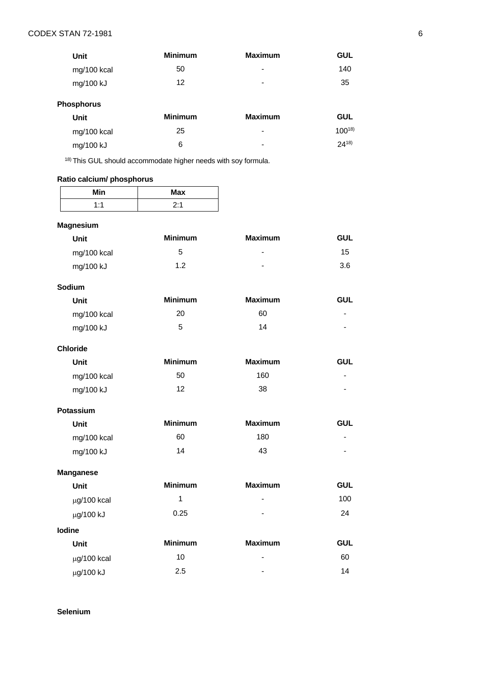| Unit        | <b>Minimum</b> | <b>Maximum</b>           | <b>GUL</b> |
|-------------|----------------|--------------------------|------------|
| mg/100 kcal | 50             | $\overline{\phantom{0}}$ | 140        |
| mg/100 kJ   | 12             | $\overline{\phantom{0}}$ | 35         |

# **Phosphorus**

| Unit        | <b>Minimum</b> | <b>Maximum</b>           | <b>GUL</b> |
|-------------|----------------|--------------------------|------------|
| mg/100 kcal | 25             | $\overline{\phantom{0}}$ | $100^{18}$ |
| mg/100 kJ   | 6              | $\overline{\phantom{0}}$ | $24^{18}$  |

18) This GUL should accommodate higher needs with soy formula.

# **Ratio calcium/ phosphorus**

| Min                | <b>Max</b> |
|--------------------|------------|
| $1 - 1$<br>$\cdot$ | 0.1        |

# **Magnesium**

| Unit        | <b>Minimum</b> | <b>Maximum</b> | <b>GUL</b> |
|-------------|----------------|----------------|------------|
| mg/100 kcal | 5              | $\blacksquare$ | 15         |
| mg/100 kJ   | 1.2            | $\blacksquare$ | 3.6        |

# **Sodium**

| Unit        | <b>Minimum</b> | <b>Maximum</b> | GUL                      |
|-------------|----------------|----------------|--------------------------|
| mg/100 kcal | 20             | 60             | $\overline{\phantom{0}}$ |
| mg/100 kJ   | 5              | 14             | $\overline{\phantom{a}}$ |

| <b>Minimum</b> | <b>Maximum</b> | <b>GUL</b> |
|----------------|----------------|------------|
| 50             | 160            | -          |
| 12             | 38             | -          |
|                |                |            |

| <b>Potassium</b> |                |                |                          |
|------------------|----------------|----------------|--------------------------|
| Unit             | <b>Minimum</b> | <b>Maximum</b> | <b>GUL</b>               |
| mg/100 kcal      | 60             | 180            | $\overline{\phantom{a}}$ |
| mg/100 kJ        | 14             | 43             | -                        |

| <b>Manganese</b> |                |                |            |
|------------------|----------------|----------------|------------|
| <b>Unit</b>      | <b>Minimum</b> | <b>Maximum</b> | <b>GUL</b> |
| $\mu$ g/100 kcal | 1              | $\blacksquare$ | 100        |
| µg/100 kJ        | 0.25           | $\blacksquare$ | 24         |
| <b>lodine</b>    |                |                |            |
| Unit             | <b>Minimum</b> | <b>Maximum</b> | <b>GUL</b> |
| $\mu$ g/100 kcal | 10             | $\blacksquare$ | 60         |
| μg/100 kJ        | 2.5            | $\,$           | 14         |

**Selenium**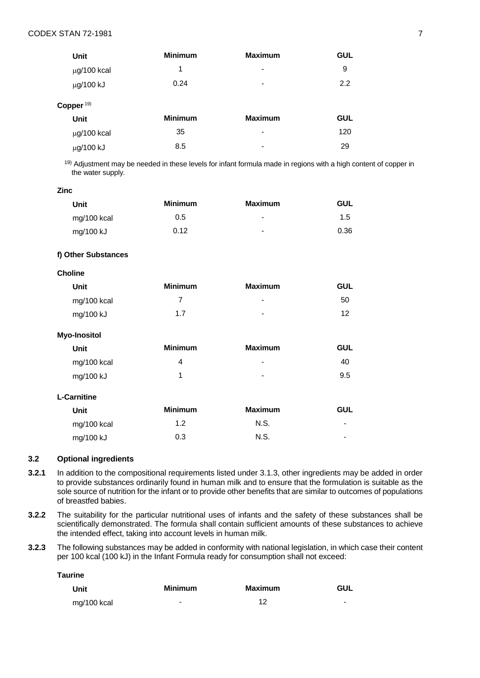| Unit             | <b>Minimum</b> | <b>Maximum</b>  | <b>GUL</b> |
|------------------|----------------|-----------------|------------|
| $\mu$ g/100 kcal | 1              | $\blacksquare$  | 9          |
| µg/100 kJ        | 0.24           | $\blacksquare$  | 2.2        |
| Copper $19$      |                |                 |            |
| <b>Unit</b>      | <b>Minimum</b> | <b>Maximum</b>  | <b>GUL</b> |
| $\mu$ g/100 kcal | 35             | $\qquad \qquad$ | 120        |
| µg/100 kJ        | 8.5            |                 | 29         |

19) Adjustment may be needed in these levels for infant formula made in regions with a high content of copper in the water supply.

## **Zinc**

| Unit        | <b>Minimum</b> | <b>Maximum</b> | GUL  |
|-------------|----------------|----------------|------|
| mg/100 kcal | 0.5            | $\blacksquare$ | 1.5  |
| mg/100 kJ   | 0.12           | $\blacksquare$ | 0.36 |

#### **f) Other Substances**

| <b>Unit</b> | <b>Minimum</b> | <b>Maximum</b> | <b>GUL</b> |
|-------------|----------------|----------------|------------|
| mg/100 kcal | 7              | $\blacksquare$ | 50         |
| mg/100 kJ   | 1.7            | $\blacksquare$ | 12         |

| <b>Minimum</b> | <b>Maximum</b> | <b>GUL</b> |
|----------------|----------------|------------|
| 4              | ٠              | 40         |
| 1              | $\blacksquare$ | 9.5        |
|                |                |            |
| <b>Minimum</b> | <b>Maximum</b> | <b>GUL</b> |
| 1.2            | N.S.           | -          |
| 0.3            | N.S.           | -          |
|                |                |            |

### **3.2 Optional ingredients**

- **3.2.1** In addition to the compositional requirements listed under 3.1.3, other ingredients may be added in order to provide substances ordinarily found in human milk and to ensure that the formulation is suitable as the sole source of nutrition for the infant or to provide other benefits that are similar to outcomes of populations of breastfed babies.
- **3.2.2** The suitability for the particular nutritional uses of infants and the safety of these substances shall be scientifically demonstrated. The formula shall contain sufficient amounts of these substances to achieve the intended effect, taking into account levels in human milk.
- **3.2.3** The following substances may be added in conformity with national legislation, in which case their content per 100 kcal (100 kJ) in the Infant Formula ready for consumption shall not exceed:

**Taurine**

| Unit        | <b>Minimum</b> | Maximum | GUL                      |
|-------------|----------------|---------|--------------------------|
| mg/100 kcal | -              | 12      | $\overline{\phantom{a}}$ |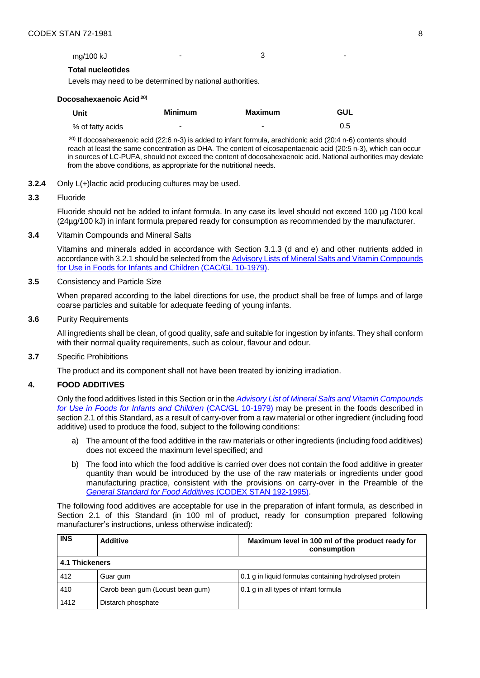# **Total nucleotides**

Levels may need to be determined by national authorities.

| Docosahexaenoic Acid <sup>20)</sup> |  |
|-------------------------------------|--|
|-------------------------------------|--|

| Unit             | <b>Minimum</b> | <b>Maximum</b>           | GUL |
|------------------|----------------|--------------------------|-----|
| % of fatty acids | -              | $\overline{\phantom{a}}$ | 0.5 |

20) If docosahexaenoic acid (22:6 n-3) is added to infant formula, arachidonic acid (20:4 n-6) contents should reach at least the same concentration as DHA. The content of eicosapentaenoic acid (20:5 n-3), which can occur in sources of LC-PUFA, should not exceed the content of docosahexaenoic acid. National authorities may deviate from the above conditions, as appropriate for the nutritional needs.

**3.2.4** Only L(+)lactic acid producing cultures may be used.

## **3.3** Fluoride

Fluoride should not be added to infant formula. In any case its level should not exceed 100 µg /100 kcal (24µg/100 kJ) in infant formula prepared ready for consumption as recommended by the manufacturer.

**3.4** Vitamin Compounds and Mineral Salts

Vitamins and minerals added in accordance with Section 3.1.3 (d and e) and other nutrients added in accordance with 3.2.1 should be selected from the **Advisory Lists of Mineral Salts and Vitamin Compounds** [for Use in Foods for Infants and Children \(CAC/GL 10-1979\).](https://workspace.fao.org/sites/codex/Meetings/Forms/Codex%20Meeting/docsethomepage.aspx?RootFolder=%2Fsites%2Fcodex%2FMeetings%2FCX%2D712%2D48%2FWorking%20Document&FolderCTID=0x0120006747262DF499DF4682318F79B77A3D7E&View=%7B9A4927B7%2D091A%2D46EB%2DBA75%2D735E7AA2FFFB%7Dhttp://www.fao.org/fao-who-codexalimentarius/sh-proxy/en/?lnk=1&url=https%253A%252F%252Fworkspace.fao.org%252Fsites%252Fcodex%252FStandards%252FCAC%2BGL%2B10-1979%252FCXG_010e_2015.pdf)

**3.5** Consistency and Particle Size

When prepared according to the label directions for use, the product shall be free of lumps and of large coarse particles and suitable for adequate feeding of young infants.

**3.6** Purity Requirements

All ingredients shall be clean, of good quality, safe and suitable for ingestion by infants. They shall conform with their normal quality requirements, such as colour, flavour and odour.

**3.7** Specific Prohibitions

The product and its component shall not have been treated by ionizing irradiation.

### **4. FOOD ADDITIVES**

Only the food additives listed in this Section or in the *[Advisory List of Mineral Salts and](http://www.fao.org/fao-who-codexalimentarius/sh-proxy/en/?lnk=1&url=https%253A%252F%252Fworkspace.fao.org%252Fsites%252Fcodex%252FStandards%252FCAC%2BGL%2B10-1979%252FCXG_010e_2015.pdf) Vitamin Compounds [for Use in Foods for Infants and Children](http://www.fao.org/fao-who-codexalimentarius/sh-proxy/en/?lnk=1&url=https%253A%252F%252Fworkspace.fao.org%252Fsites%252Fcodex%252FStandards%252FCAC%2BGL%2B10-1979%252FCXG_010e_2015.pdf)* (CAC/GL 10-1979) may be present in the foods described in section 2.1 of this Standard, as a result of carry-over from a raw material or other ingredient (including food additive) used to produce the food, subject to the following conditions:

- a) The amount of the food additive in the raw materials or other ingredients (including food additives) does not exceed the maximum level specified; and
- b) The food into which the food additive is carried over does not contain the food additive in greater quantity than would be introduced by the use of the raw materials or ingredients under good manufacturing practice, consistent with the provisions on carry-over in the Preamble of the *[General Standard for Food Additives](http://www.fao.org/fao-who-codexalimentarius/sh-proxy/en/?lnk=1&url=https%253A%252F%252Fworkspace.fao.org%252Fsites%252Fcodex%252FStandards%252FCODEX%2BSTAN%2B192-1995%252FCXS_192e.pdf)* (CODEX STAN 192-1995).

The following food additives are acceptable for use in the preparation of infant formula, as described in Section 2.1 of this Standard (in 100 ml of product, ready for consumption prepared following manufacturer's instructions, unless otherwise indicated):

| <b>INS</b>     | <b>Additive</b>                  | Maximum level in 100 ml of the product ready for<br>consumption |
|----------------|----------------------------------|-----------------------------------------------------------------|
| 4.1 Thickeners |                                  |                                                                 |
| 412            | Guar gum                         | 0.1 g in liquid formulas containing hydrolysed protein          |
| 410            | Carob bean gum (Locust bean gum) | 0.1 g in all types of infant formula                            |
| 1412           | Distarch phosphate               |                                                                 |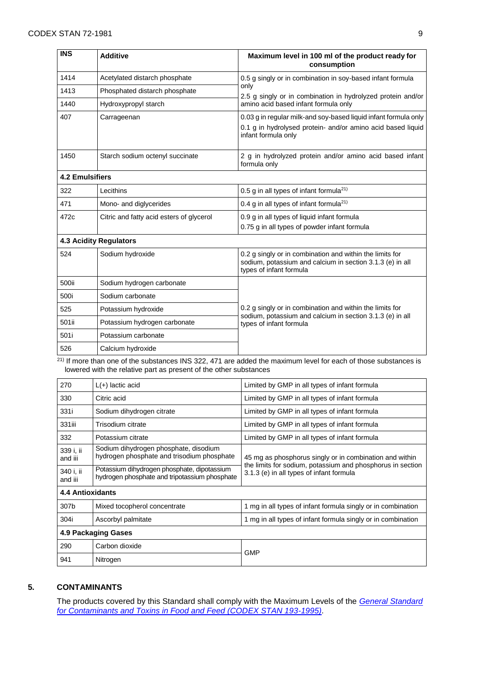| <b>INS</b>             | <b>Additive</b>                          | Maximum level in 100 ml of the product ready for<br>consumption                                                                                       |  |  |  |  |  |  |
|------------------------|------------------------------------------|-------------------------------------------------------------------------------------------------------------------------------------------------------|--|--|--|--|--|--|
| 1414                   | Acetylated distarch phosphate            | 0.5 g singly or in combination in soy-based infant formula                                                                                            |  |  |  |  |  |  |
| 1413                   | Phosphated distarch phosphate            | only<br>2.5 g singly or in combination in hydrolyzed protein and/or                                                                                   |  |  |  |  |  |  |
| 1440                   | Hydroxypropyl starch                     | amino acid based infant formula only                                                                                                                  |  |  |  |  |  |  |
| 407                    | Carrageenan                              | 0.03 g in regular milk-and soy-based liquid infant formula only<br>0.1 g in hydrolysed protein- and/or amino acid based liquid<br>infant formula only |  |  |  |  |  |  |
| 1450                   | Starch sodium octenyl succinate          | 2 g in hydrolyzed protein and/or amino acid based infant<br>formula only                                                                              |  |  |  |  |  |  |
| <b>4.2 Emulsifiers</b> |                                          |                                                                                                                                                       |  |  |  |  |  |  |
| 322                    | Lecithins                                | 0.5 g in all types of infant formula <sup>21)</sup>                                                                                                   |  |  |  |  |  |  |
| 471                    | Mono- and diglycerides                   | 0.4 g in all types of infant formula <sup>21)</sup>                                                                                                   |  |  |  |  |  |  |
| 472c                   | Citric and fatty acid esters of glycerol | 0.9 g in all types of liquid infant formula<br>0.75 g in all types of powder infant formula                                                           |  |  |  |  |  |  |
|                        | <b>4.3 Acidity Regulators</b>            |                                                                                                                                                       |  |  |  |  |  |  |
| 524                    | Sodium hydroxide                         | 0.2 g singly or in combination and within the limits for<br>sodium, potassium and calcium in section 3.1.3 (e) in all<br>types of infant formula      |  |  |  |  |  |  |
| 500ii                  | Sodium hydrogen carbonate                |                                                                                                                                                       |  |  |  |  |  |  |
| 500i                   | Sodium carbonate                         |                                                                                                                                                       |  |  |  |  |  |  |
| 525                    | Potassium hydroxide                      | 0.2 g singly or in combination and within the limits for<br>sodium, potassium and calcium in section 3.1.3 (e) in all                                 |  |  |  |  |  |  |
| 501ii                  | Potassium hydrogen carbonate             | types of infant formula                                                                                                                               |  |  |  |  |  |  |
| 501i                   | Potassium carbonate                      |                                                                                                                                                       |  |  |  |  |  |  |
| 526                    | Calcium hydroxide                        |                                                                                                                                                       |  |  |  |  |  |  |

<sup>21)</sup> If more than one of the substances INS 322, 471 are added the maximum level for each of those substances is lowered with the relative part as present of the other substances

| 270                     | $L(+)$ lactic acid                                                                           | Limited by GMP in all types of infant formula                                                          |  |  |  |  |  |
|-------------------------|----------------------------------------------------------------------------------------------|--------------------------------------------------------------------------------------------------------|--|--|--|--|--|
| 330                     | Citric acid                                                                                  | Limited by GMP in all types of infant formula                                                          |  |  |  |  |  |
| 331i                    | Sodium dihydrogen citrate                                                                    | Limited by GMP in all types of infant formula                                                          |  |  |  |  |  |
| 331iii                  | Trisodium citrate                                                                            | Limited by GMP in all types of infant formula                                                          |  |  |  |  |  |
| 332                     | Potassium citrate                                                                            | Limited by GMP in all types of infant formula                                                          |  |  |  |  |  |
| 339 i. ii<br>and iii    | Sodium dihydrogen phosphate, disodium<br>hydrogen phosphate and trisodium phosphate          | 45 mg as phosphorus singly or in combination and within                                                |  |  |  |  |  |
| 340 i. ii<br>and iii    | Potassium dihydrogen phosphate, dipotassium<br>hydrogen phosphate and tripotassium phosphate | the limits for sodium, potassium and phosphorus in section<br>3.1.3 (e) in all types of infant formula |  |  |  |  |  |
| <b>4.4 Antioxidants</b> |                                                                                              |                                                                                                        |  |  |  |  |  |
| 307b                    | Mixed tocopherol concentrate                                                                 | 1 mg in all types of infant formula singly or in combination                                           |  |  |  |  |  |
| 304i                    | Ascorbyl palmitate                                                                           | 1 mg in all types of infant formula singly or in combination                                           |  |  |  |  |  |
| 4.9 Packaging Gases     |                                                                                              |                                                                                                        |  |  |  |  |  |
| 290                     | Carbon dioxide                                                                               | <b>GMP</b>                                                                                             |  |  |  |  |  |
| 941                     | Nitrogen                                                                                     |                                                                                                        |  |  |  |  |  |

# **5. CONTAMINANTS**

The products covered by this Standard shall comply with the Maximum Levels of the *[General Standard](http://www.fao.org/fao-who-codexalimentarius/sh-proxy/en/?lnk=1&url=https%253A%252F%252Fworkspace.fao.org%252Fsites%252Fcodex%252FStandards%252FCODEX%2BSTAN%2B193-1995%252FCXS_193e.pdf)  [for Contaminants and Toxins in Food and Feed \(CODEX STAN 193-1995\)](http://www.fao.org/fao-who-codexalimentarius/sh-proxy/en/?lnk=1&url=https%253A%252F%252Fworkspace.fao.org%252Fsites%252Fcodex%252FStandards%252FCODEX%2BSTAN%2B193-1995%252FCXS_193e.pdf)*.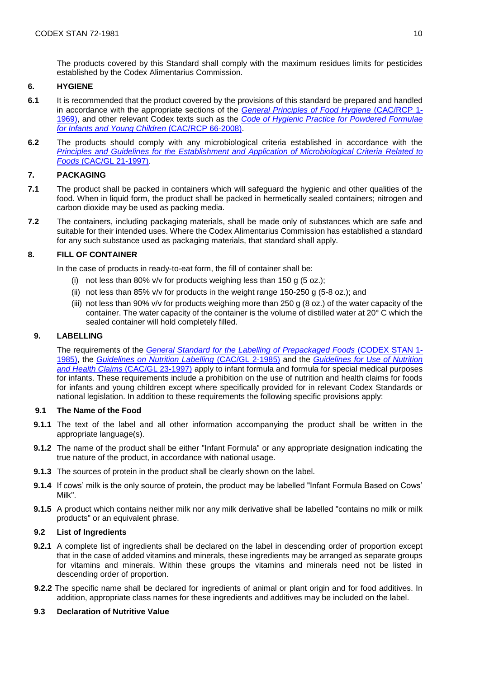The products covered by this Standard shall comply with the maximum residues limits for pesticides established by the Codex Alimentarius Commission.

# **6. HYGIENE**

- **6.1** It is recommended that the product covered by the provisions of this standard be prepared and handled in accordance with the appropriate sections of the *[General Principles of Food Hygiene](http://www.fao.org/fao-who-codexalimentarius/sh-proxy/en/?lnk=1&url=https%253A%252F%252Fworkspace.fao.org%252Fsites%252Fcodex%252FStandards%252FCAC%2BRCP%2B1-1969%252FCXP_001e.pdf)* (CAC/RCP 1- [1969\),](http://www.fao.org/fao-who-codexalimentarius/sh-proxy/en/?lnk=1&url=https%253A%252F%252Fworkspace.fao.org%252Fsites%252Fcodex%252FStandards%252FCAC%2BRCP%2B1-1969%252FCXP_001e.pdf) and other relevant Codex texts such as the *[Code of Hygienic Practice](http://www.fao.org/fao-who-codexalimentarius/sh-proxy/en/?lnk=1&url=https%253A%252F%252Fworkspace.fao.org%252Fsites%252Fcodex%252FStandards%252FCAC%2BRCP%2B66-2008%252FCXP_066e.pdf) for Powdered Formulae [for Infants and Young Children](http://www.fao.org/fao-who-codexalimentarius/sh-proxy/en/?lnk=1&url=https%253A%252F%252Fworkspace.fao.org%252Fsites%252Fcodex%252FStandards%252FCAC%2BRCP%2B66-2008%252FCXP_066e.pdf)* (CAC/RCP 66-2008).
- **6.2** The products should comply with any microbiological criteria established in accordance with the *Principles and Guidelines [for the Establishment and Application of Microbiological Criteria Related to](http://www.fao.org/fao-who-codexalimentarius/sh-proxy/en/?lnk=1&url=https%253A%252F%252Fworkspace.fao.org%252Fsites%252Fcodex%252FStandards%252FCAC%2BGL%2B21-1997%252FCXG_021e.pdf)  Foods* (CAC/GL [21-1997\).](http://www.fao.org/fao-who-codexalimentarius/sh-proxy/en/?lnk=1&url=https%253A%252F%252Fworkspace.fao.org%252Fsites%252Fcodex%252FStandards%252FCAC%2BGL%2B21-1997%252FCXG_021e.pdf)

# **7. PACKAGING**

- **7.1** The product shall be packed in containers which will safeguard the hygienic and other qualities of the food. When in liquid form, the product shall be packed in hermetically sealed containers; nitrogen and carbon dioxide may be used as packing media.
- **7.2** The containers, including packaging materials, shall be made only of substances which are safe and suitable for their intended uses. Where the Codex Alimentarius Commission has established a standard for any such substance used as packaging materials, that standard shall apply.

# **8. FILL OF CONTAINER**

In the case of products in ready-to-eat form, the fill of container shall be:

- (i) not less than 80% v/v for products weighing less than 150 g (5 oz.);
- (ii) not less than 85% v/v for products in the weight range 150-250 g (5-8 oz.); and
- (iii) not less than 90% v/v for products weighing more than 250 g (8 oz.) of the water capacity of the container. The water capacity of the container is the volume of distilled water at 20° C which the sealed container will hold completely filled.

# **9. LABELLING**

The requirements of the *[General Standard for the Labelling of Prepackaged Foods](http://www.fao.org/fao-who-codexalimentarius/sh-proxy/en/?lnk=1&url=https%253A%252F%252Fworkspace.fao.org%252Fsites%252Fcodex%252FStandards%252FCODEX%2BSTAN%2B1-1985%252FCXS_001e.pdf)* (CODEX STAN 1- [1985\),](http://www.fao.org/fao-who-codexalimentarius/sh-proxy/en/?lnk=1&url=https%253A%252F%252Fworkspace.fao.org%252Fsites%252Fcodex%252FStandards%252FCODEX%2BSTAN%2B1-1985%252FCXS_001e.pdf) the *[Guidelines on Nutrition Labelling](http://www.fao.org/fao-who-codexalimentarius/sh-proxy/en/?lnk=1&url=https%253A%252F%252Fworkspace.fao.org%252Fsites%252Fcodex%252FStandards%252FCAC%2BGL%2B2-1985%252FCXG_002e.pdf)* (CAC/GL 2-1985) and the *[Guidelines for Use of Nutrition](http://www.fao.org/fao-who-codexalimentarius/sh-proxy/en/?lnk=1&url=https%253A%252F%252Fworkspace.fao.org%252Fsites%252Fcodex%252FStandards%252FCAC%2BGL%2B23-1997%252FCXG_023e.pdf)  [and Health Claims](http://www.fao.org/fao-who-codexalimentarius/sh-proxy/en/?lnk=1&url=https%253A%252F%252Fworkspace.fao.org%252Fsites%252Fcodex%252FStandards%252FCAC%2BGL%2B23-1997%252FCXG_023e.pdf)* (CAC/GL 23-1997) apply to infant formula and formula for special medical purposes for infants. These requirements include a prohibition on the use of nutrition and health claims for foods for infants and young children except where specifically provided for in relevant Codex Standards or national legislation. In addition to these requirements the following specific provisions apply:

# **9.1 The Name of the Food**

- **9.1.1** The text of the label and all other information accompanying the product shall be written in the appropriate language(s).
- **9.1.2** The name of the product shall be either "Infant Formula" or any appropriate designation indicating the true nature of the product, in accordance with national usage.
- **9.1.3** The sources of protein in the product shall be clearly shown on the label.
- **9.1.4** If cows' milk is the only source of protein, the product may be labelled "Infant Formula Based on Cows' Milk".
- **9.1.5** A product which contains neither milk nor any milk derivative shall be labelled "contains no milk or milk products" or an equivalent phrase.

# **9.2 List of Ingredients**

- **9.2.1** A complete list of ingredients shall be declared on the label in descending order of proportion except that in the case of added vitamins and minerals, these ingredients may be arranged as separate groups for vitamins and minerals. Within these groups the vitamins and minerals need not be listed in descending order of proportion.
- **9.2.2** The specific name shall be declared for ingredients of animal or plant origin and for food additives. In addition, appropriate class names for these ingredients and additives may be included on the label.

# **9.3 Declaration of Nutritive Value**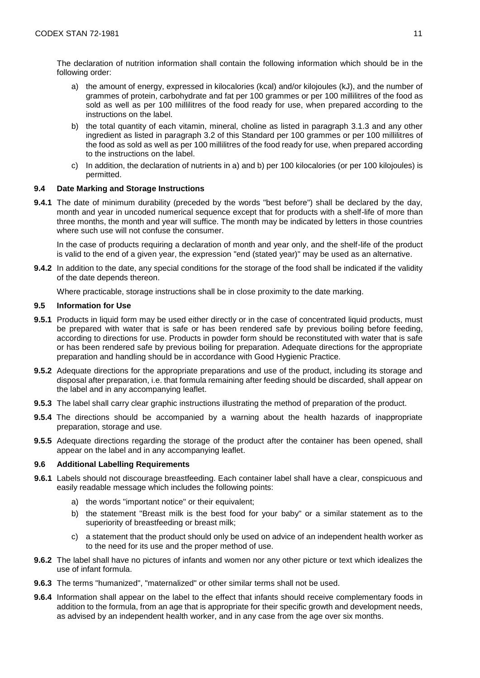The declaration of nutrition information shall contain the following information which should be in the following order:

- a) the amount of energy, expressed in kilocalories (kcal) and/or kilojoules (kJ), and the number of grammes of protein, carbohydrate and fat per 100 grammes or per 100 millilitres of the food as sold as well as per 100 millilitres of the food ready for use, when prepared according to the instructions on the label.
- b) the total quantity of each vitamin, mineral, choline as listed in paragraph 3.1.3 and any other ingredient as listed in paragraph 3.2 of this Standard per 100 grammes or per 100 millilitres of the food as sold as well as per 100 millilitres of the food ready for use, when prepared according to the instructions on the label.
- c) In addition, the declaration of nutrients in a) and b) per 100 kilocalories (or per 100 kilojoules) is permitted.

## **9.4 Date Marking and Storage Instructions**

**9.4.1** The date of minimum durability (preceded by the words "best before") shall be declared by the day, month and year in uncoded numerical sequence except that for products with a shelf-life of more than three months, the month and year will suffice. The month may be indicated by letters in those countries where such use will not confuse the consumer.

In the case of products requiring a declaration of month and year only, and the shelf-life of the product is valid to the end of a given year, the expression "end (stated year)" may be used as an alternative.

**9.4.2** In addition to the date, any special conditions for the storage of the food shall be indicated if the validity of the date depends thereon.

Where practicable, storage instructions shall be in close proximity to the date marking.

#### **9.5 Information for Use**

- **9.5.1** Products in liquid form may be used either directly or in the case of concentrated liquid products, must be prepared with water that is safe or has been rendered safe by previous boiling before feeding, according to directions for use. Products in powder form should be reconstituted with water that is safe or has been rendered safe by previous boiling for preparation. Adequate directions for the appropriate preparation and handling should be in accordance with Good Hygienic Practice.
- **9.5.2** Adequate directions for the appropriate preparations and use of the product, including its storage and disposal after preparation, i.e. that formula remaining after feeding should be discarded, shall appear on the label and in any accompanying leaflet.
- **9.5.3** The label shall carry clear graphic instructions illustrating the method of preparation of the product.
- **9.5.4** The directions should be accompanied by a warning about the health hazards of inappropriate preparation, storage and use.
- **9.5.5** Adequate directions regarding the storage of the product after the container has been opened, shall appear on the label and in any accompanying leaflet.

# **9.6 Additional Labelling Requirements**

- **9.6.1** Labels should not discourage breastfeeding. Each container label shall have a clear, conspicuous and easily readable message which includes the following points:
	- a) the words "important notice" or their equivalent;
	- b) the statement "Breast milk is the best food for your baby" or a similar statement as to the superiority of breastfeeding or breast milk;
	- c) a statement that the product should only be used on advice of an independent health worker as to the need for its use and the proper method of use.
- **9.6.2** The label shall have no pictures of infants and women nor any other picture or text which idealizes the use of infant formula.
- **9.6.3** The terms "humanized", "maternalized" or other similar terms shall not be used.
- **9.6.4** Information shall appear on the label to the effect that infants should receive complementary foods in addition to the formula, from an age that is appropriate for their specific growth and development needs, as advised by an independent health worker, and in any case from the age over six months.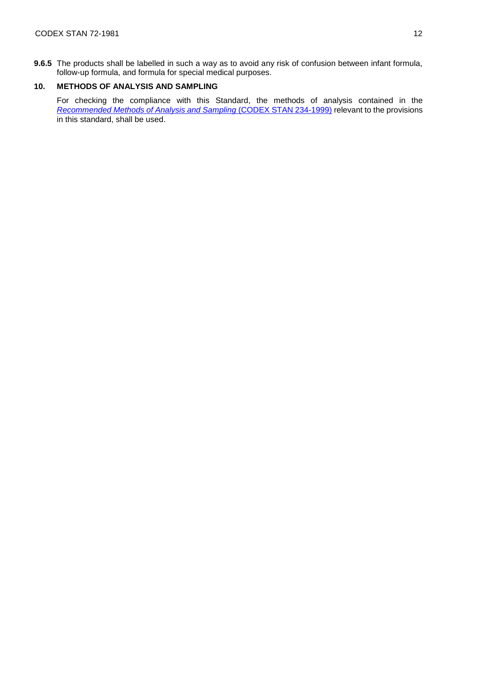**9.6.5** The products shall be labelled in such a way as to avoid any risk of confusion between infant formula, follow-up formula, and formula for special medical purposes.

# **10. METHODS OF ANALYSIS AND SAMPLING**

For checking the compliance with this Standard, the methods of analysis contained in the *[Recommended Methods of Analysis and Sampling](http://www.fao.org/fao-who-codexalimentarius/sh-proxy/fr/?lnk=1&url=https%253A%252F%252Fworkspace.fao.org%252Fsites%252Fcodex%252FStandards%252FCODEX%2BSTAN%2B234-1999%252FCXS_234e.pdf)* (CODEX STAN 234-1999) relevant to the provisions in this standard, shall be used.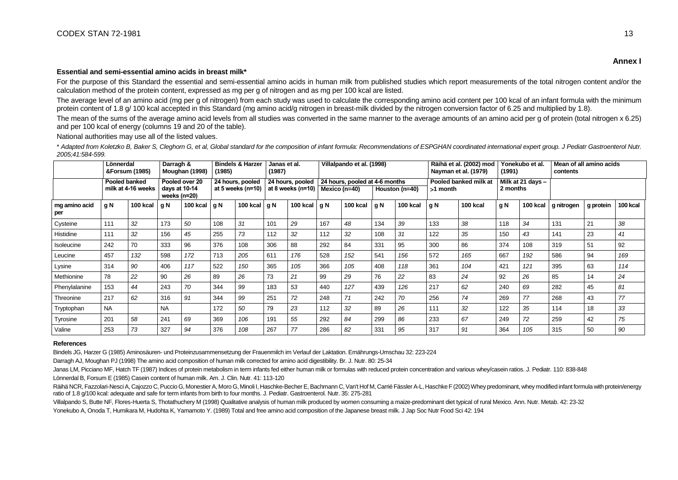#### **Essential and semi-essential amino acids in breast milk\***

For the purpose of this Standard the essential and semi-essential amino acids in human milk from published studies which report measurements of the total nitrogen content and/or the calculation method of the protein content, expressed as mg per g of nitrogen and as mg per 100 kcal are listed.

The average level of an amino acid (mg per g of nitrogen) from each study was used to calculate the corresponding amino acid content per 100 kcal of an infant formula with the minimum protein content of 1.8 g/ 100 kcal accepted in this Standard (mg amino acid/g nitrogen in breast-milk divided by the nitrogen conversion factor of 6.25 and multiplied by 1.8).

The mean of the sums of the average amino acid levels from all studies was converted in the same manner to the average amounts of an amino acid per g of protein (total nitrogen x 6.25) and per 100 kcal of energy (columns 19 and 20 of the table).

National authorities may use all of the listed values.

\* *Adapted from Koletzko B, Baker S, Cleghorn G, et al, Global standard for the composition of infant formula: Recommendations of ESPGHAN coordinated international expert group. J Pediatr Gastroenterol Nutr. 2005;41:584-599.*

|                      |               | Lönnerdal<br><b>Bindels &amp; Harzer</b><br>Villalpando et al. (1998)<br>Darragh &<br>Janas et al.<br>&Forsum (1985)<br>(1987)<br>Moughan (1998)<br>(1985) |                               | Räihä et al. (2002) mod<br>Nayman et al. (1979) |     | Yonekubo et al.<br>(1991)             |     | Mean of all amino acids<br>contents                   |     |          |       |                                                                                       |     |                               |     |          |            |           |          |
|----------------------|---------------|------------------------------------------------------------------------------------------------------------------------------------------------------------|-------------------------------|-------------------------------------------------|-----|---------------------------------------|-----|-------------------------------------------------------|-----|----------|-------|---------------------------------------------------------------------------------------|-----|-------------------------------|-----|----------|------------|-----------|----------|
|                      | Pooled banked | milk at 4-16 weeks                                                                                                                                         | days at 10-14<br>weeks (n=20) | Pooled over 20                                  |     | 24 hours, pooled<br>at 5 weeks (n=10) |     | 24 hours, pooled<br>at 8 weeks (n=10)   Mexico (n=40) |     |          |       | 24 hours, pooled at 4-6 months<br>Pooled banked milk at<br>Houston (n=40)<br>>1 month |     | Milk at 21 days -<br>2 months |     |          |            |           |          |
| mg amino acid<br>per | g N           | 100 kcal                                                                                                                                                   | l g N                         | 100 kcal $qN$                                   |     | 100 kcal $qN$                         |     | 100 kcal $\vert$ g N                                  |     | 100 kcal | l g N | 100 kcal                                                                              | q N | 100 kcal                      | g N | 100 kcal | g nitrogen | g protein | 100 kcal |
| Cysteine             | 111           | 32                                                                                                                                                         | 173                           | 50                                              | 108 | 31                                    | 101 | 29                                                    | 167 | 48       | 134   | 39                                                                                    | 133 | 38                            | 118 | 34       | 131        | 21        | 38       |
| Histidine            | 111           | 32                                                                                                                                                         | 156                           | 45                                              | 255 | 73                                    | 112 | 32                                                    | 112 | 32       | 108   | 31                                                                                    | 122 | 35                            | 150 | 43       | 141        | 23        | 41       |
| <b>Isoleucine</b>    | 242           | 70                                                                                                                                                         | 333                           | 96                                              | 376 | 108                                   | 306 | 88                                                    | 292 | 84       | 331   | 95                                                                                    | 300 | 86                            | 374 | 108      | 319        | 51        | 92       |
| Leucine              | 457           | 132                                                                                                                                                        | 598                           | 172                                             | 713 | 205                                   | 611 | 176                                                   | 528 | 152      | 541   | 156                                                                                   | 572 | 165                           | 667 | 192      | 586        | 94        | 169      |
| Lysine               | 314           | 90                                                                                                                                                         | 406                           | 117                                             | 522 | 150                                   | 365 | 105                                                   | 366 | 105      | 408   | 118                                                                                   | 361 | 104                           | 421 | 121      | 395        | 63        | 114      |
| Methionine           | 78            | 22                                                                                                                                                         | 90                            | 26                                              | 89  | 26                                    | 73  | 21                                                    | 99  | 29       | 76    | 22                                                                                    | 83  | 24                            | 92  | 26       | 85         | 14        | 24       |
| Phenylalanine        | 153           | 44                                                                                                                                                         | 243                           | 70                                              | 344 | 99                                    | 183 | 53                                                    | 440 | 127      | 439   | 126                                                                                   | 217 | 62                            | 240 | 69       | 282        | 45        | 81       |
| Threonine            | 217           | 62                                                                                                                                                         | 316                           | 91                                              | 344 | 99                                    | 251 | 72                                                    | 248 | 71       | 242   | 70                                                                                    | 256 | 74                            | 269 | 77       | 268        | 43        | 77       |
| Tryptophan           | <b>NA</b>     |                                                                                                                                                            | <b>NA</b>                     |                                                 | 172 | 50                                    | 79  | 23                                                    | 112 | 32       | 89    | 26                                                                                    | 111 | 32                            | 122 | 35       | 114        | 18        | 33       |
| Tyrosine             | 201           | 58                                                                                                                                                         | 241                           | 69                                              | 369 | 106                                   | 191 | 55                                                    | 292 | 84       | 299   | 86                                                                                    | 233 | 67                            | 249 | 72       | 259        | 42        | 75       |
| Valine               | 253           | 73                                                                                                                                                         | 327                           | 94                                              | 376 | 108                                   | 267 | 77                                                    | 286 | 82       | 331   | 95                                                                                    | 317 | 91                            | 364 | 105      | 315        | 50        | 90       |

#### **References**

Bindels JG, Harzer G (1985) Aminosäuren- und Proteinzusammensetzung der Frauenmilch im Verlauf der Laktation. Ernährungs-Umschau 32: 223-224

Darragh AJ, Moughan PJ (1998) The amino acid composition of human milk corrected for amino acid digestibility. Br. J. Nutr. 80: 25-34

Janas LM, Picciano MF, Hatch TF (1987) Indices of protein metabolism in term infants fed either human milk or formulas with reduced protein concentration and various whey/casein ratios. J. Pediatr. 110: 838-848

Lönnerdal B, Forsum E (1985) Casein content of human milk. Am. J. Clin. Nutr. 41: 113-120

Räihä NCR, Fazzolari-Nesci A, Cajozzo C, Puccio G, Monestier A, Moro G, Minoli I, Haschke-Becher E, Bachmann C, Van't Hof M, Carrié Fässler A-L, Haschke F (2002) Whey predominant, whey modified infant formula with protein/ ratio of 1.8 g/100 kcal: adequate and safe for term infants from birth to four months. J. Pediatr. Gastroenterol. Nutr. 35: 275-281

Villalpando S, Butte NF, Flores-Huerta S, Thotathuchery M (1998) Qualitative analysis of human milk produced by women consuming a maize-predominant diet typical of rural Mexico. Ann. Nutr. Metab. 42: 23-32

Yonekubo A, Onoda T, Humikara M, Hudohta K, Yamamoto Y. (1989) Total and free amino acid composition of the Japanese breast milk. J Jap Soc Nutr Food Sci 42: 194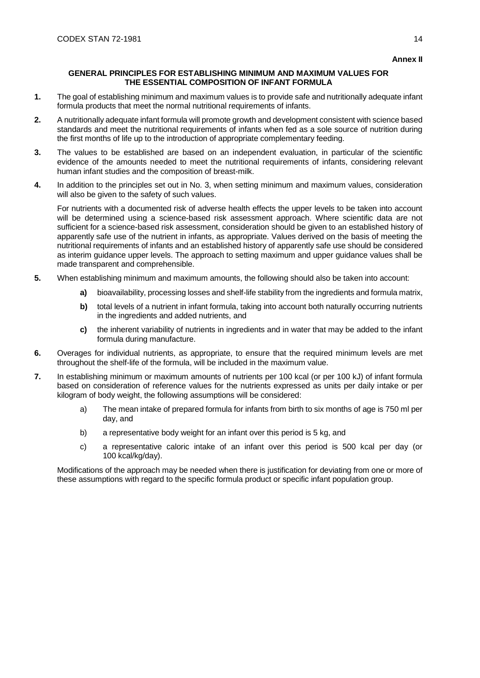### **GENERAL PRINCIPLES FOR ESTABLISHING MINIMUM AND MAXIMUM VALUES FOR THE ESSENTIAL COMPOSITION OF INFANT FORMULA**

- **1.** The goal of establishing minimum and maximum values is to provide safe and nutritionally adequate infant formula products that meet the normal nutritional requirements of infants.
- **2.** A nutritionally adequate infant formula will promote growth and development consistent with science based standards and meet the nutritional requirements of infants when fed as a sole source of nutrition during the first months of life up to the introduction of appropriate complementary feeding.
- **3.** The values to be established are based on an independent evaluation, in particular of the scientific evidence of the amounts needed to meet the nutritional requirements of infants, considering relevant human infant studies and the composition of breast-milk.
- **4.** In addition to the principles set out in No. 3, when setting minimum and maximum values, consideration will also be given to the safety of such values.

For nutrients with a documented risk of adverse health effects the upper levels to be taken into account will be determined using a science-based risk assessment approach. Where scientific data are not sufficient for a science-based risk assessment, consideration should be given to an established history of apparently safe use of the nutrient in infants, as appropriate. Values derived on the basis of meeting the nutritional requirements of infants and an established history of apparently safe use should be considered as interim guidance upper levels. The approach to setting maximum and upper guidance values shall be made transparent and comprehensible.

- **5.** When establishing minimum and maximum amounts, the following should also be taken into account:
	- **a)** bioavailability, processing losses and shelf-life stability from the ingredients and formula matrix,
	- **b)** total levels of a nutrient in infant formula, taking into account both naturally occurring nutrients in the ingredients and added nutrients, and
	- **c)** the inherent variability of nutrients in ingredients and in water that may be added to the infant formula during manufacture.
- **6.** Overages for individual nutrients, as appropriate, to ensure that the required minimum levels are met throughout the shelf-life of the formula, will be included in the maximum value.
- **7.** In establishing minimum or maximum amounts of nutrients per 100 kcal (or per 100 kJ) of infant formula based on consideration of reference values for the nutrients expressed as units per daily intake or per kilogram of body weight, the following assumptions will be considered:
	- a) The mean intake of prepared formula for infants from birth to six months of age is 750 ml per day, and
	- b) a representative body weight for an infant over this period is 5 kg, and
	- c) a representative caloric intake of an infant over this period is 500 kcal per day (or 100 kcal/kg/day).

Modifications of the approach may be needed when there is justification for deviating from one or more of these assumptions with regard to the specific formula product or specific infant population group.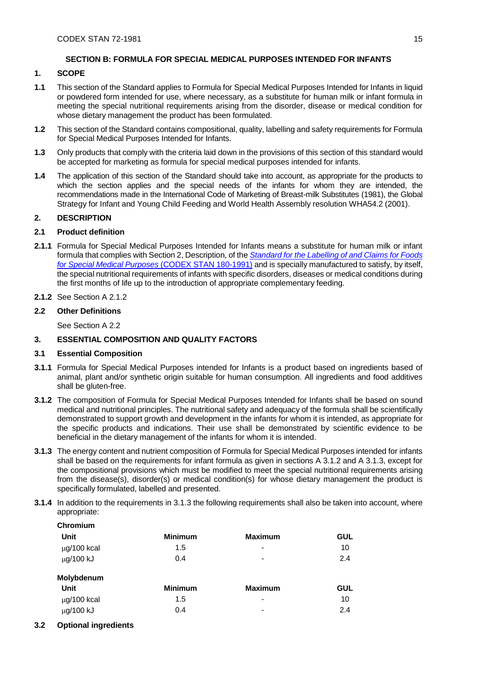# **SECTION B: FORMULA FOR SPECIAL MEDICAL PURPOSES INTENDED FOR INFANTS**

### **1. SCOPE**

- **1.1** This section of the Standard applies to Formula for Special Medical Purposes Intended for Infants in liquid or powdered form intended for use, where necessary, as a substitute for human milk or infant formula in meeting the special nutritional requirements arising from the disorder, disease or medical condition for whose dietary management the product has been formulated.
- **1.2** This section of the Standard contains compositional, quality, labelling and safety requirements for Formula for Special Medical Purposes Intended for Infants.
- **1.3** Only products that comply with the criteria laid down in the provisions of this section of this standard would be accepted for marketing as formula for special medical purposes intended for infants.
- **1.4** The application of this section of the Standard should take into account, as appropriate for the products to which the section applies and the special needs of the infants for whom they are intended, the recommendations made in the International Code of Marketing of Breast-milk Substitutes (1981), the Global Strategy for Infant and Young Child Feeding and World Health Assembly resolution WHA54.2 (2001).

# **2. DESCRIPTION**

### **2.1 Product definition**

- **2.1.1** Formula for Special Medical Purposes Intended for Infants means a substitute for human milk or infant formula that complies with Section 2, Description, of the *[Standard for the Labelling of and Claims for Foods](http://www.fao.org/fao-who-codexalimentarius/sh-proxy/en/?lnk=1&url=https%253A%252F%252Fworkspace.fao.org%252Fsites%252Fcodex%252FStandards%252FCODEX%2BSTAN%2B180-1991%252FCXS_180e.pdf)  [for Special Medical Purposes](http://www.fao.org/fao-who-codexalimentarius/sh-proxy/en/?lnk=1&url=https%253A%252F%252Fworkspace.fao.org%252Fsites%252Fcodex%252FStandards%252FCODEX%2BSTAN%2B180-1991%252FCXS_180e.pdf)* (CODEX STAN 180-1991) and is specially manufactured to satisfy, by itself, the special nutritional requirements of infants with specific disorders, diseases or medical conditions during the first months of life up to the introduction of appropriate complementary feeding.
- **2.1.2** See Section A 2.1.2

### **2.2 Other Definitions**

See Section A 2.2

# **3. ESSENTIAL COMPOSITION AND QUALITY FACTORS**

### **3.1 Essential Composition**

- **3.1.1** Formula for Special Medical Purposes intended for Infants is a product based on ingredients based of animal, plant and/or synthetic origin suitable for human consumption. All ingredients and food additives shall be gluten-free.
- **3.1.2** The composition of Formula for Special Medical Purposes Intended for Infants shall be based on sound medical and nutritional principles. The nutritional safety and adequacy of the formula shall be scientifically demonstrated to support growth and development in the infants for whom it is intended, as appropriate for the specific products and indications. Their use shall be demonstrated by scientific evidence to be beneficial in the dietary management of the infants for whom it is intended.
- **3.1.3** The energy content and nutrient composition of Formula for Special Medical Purposes intended for infants shall be based on the requirements for infant formula as given in sections A 3.1.2 and A 3.1.3, except for the compositional provisions which must be modified to meet the special nutritional requirements arising from the disease(s), disorder(s) or medical condition(s) for whose dietary management the product is specifically formulated, labelled and presented.
- **3.1.4** In addition to the requirements in 3.1.3 the following requirements shall also be taken into account, where appropriate:

| <b>Minimum</b> | <b>Maximum</b> | <b>GUL</b> |
|----------------|----------------|------------|
| 1.5            | $\blacksquare$ | 10         |
| 0.4            | -              | 2.4        |
|                |                |            |
| <b>Minimum</b> | <b>Maximum</b> | <b>GUL</b> |
| 1.5            | $\,$           | 10         |
| 0.4            | -              | 2.4        |
|                |                |            |

**3.2 Optional ingredients**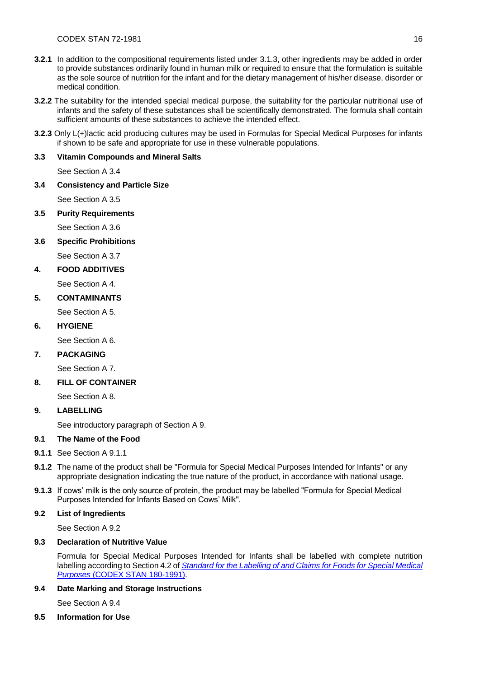- **3.2.1** In addition to the compositional requirements listed under 3.1.3, other ingredients may be added in order to provide substances ordinarily found in human milk or required to ensure that the formulation is suitable as the sole source of nutrition for the infant and for the dietary management of his/her disease, disorder or medical condition.
- **3.2.2** The suitability for the intended special medical purpose, the suitability for the particular nutritional use of infants and the safety of these substances shall be scientifically demonstrated. The formula shall contain sufficient amounts of these substances to achieve the intended effect.
- **3.2.3** Only L(+)lactic acid producing cultures may be used in Formulas for Special Medical Purposes for infants if shown to be safe and appropriate for use in these vulnerable populations.

# **3.3 Vitamin Compounds and Mineral Salts**

See Section A 3.4

**3.4 Consistency and Particle Size**

See Section A 3.5

**3.5 Purity Requirements**

See Section A 3.6

**3.6 Specific Prohibitions**

See Section A 3.7

**4. FOOD ADDITIVES**

See Section A 4.

**5. CONTAMINANTS**

See Section A 5.

# **6. HYGIENE**

See Section A 6.

# **7. PACKAGING**

See Section A 7.

# **8. FILL OF CONTAINER**

See Section A 8.

# **9. LABELLING**

See introductory paragraph of Section A 9.

# **9.1 The Name of the Food**

- **9.1.1** See Section A 9.1.1
- **9.1.2** The name of the product shall be "Formula for Special Medical Purposes Intended for Infants" or any appropriate designation indicating the true nature of the product, in accordance with national usage.
- **9.1.3** If cows' milk is the only source of protein, the product may be labelled "Formula for Special Medical Purposes Intended for Infants Based on Cows' Milk".

# **9.2 List of Ingredients**

See Section A 9.2

# **9.3 Declaration of Nutritive Value**

Formula for Special Medical Purposes Intended for Infants shall be labelled with complete nutrition labelling according to Section 4.2 of *[Standard for the Labelling of and Claims for Foods for Special Medical](http://www.fao.org/fao-who-codexalimentarius/sh-proxy/en/?lnk=1&url=https%253A%252F%252Fworkspace.fao.org%252Fsites%252Fcodex%252FStandards%252FCODEX%2BSTAN%2B180-1991%252FCXS_180e.pdf)  Purposes* [\(CODEX STAN 180-1991\).](http://www.fao.org/fao-who-codexalimentarius/sh-proxy/en/?lnk=1&url=https%253A%252F%252Fworkspace.fao.org%252Fsites%252Fcodex%252FStandards%252FCODEX%2BSTAN%2B180-1991%252FCXS_180e.pdf)

# **9.4 Date Marking and Storage Instructions**

See Section A 9.4

# **9.5 Information for Use**